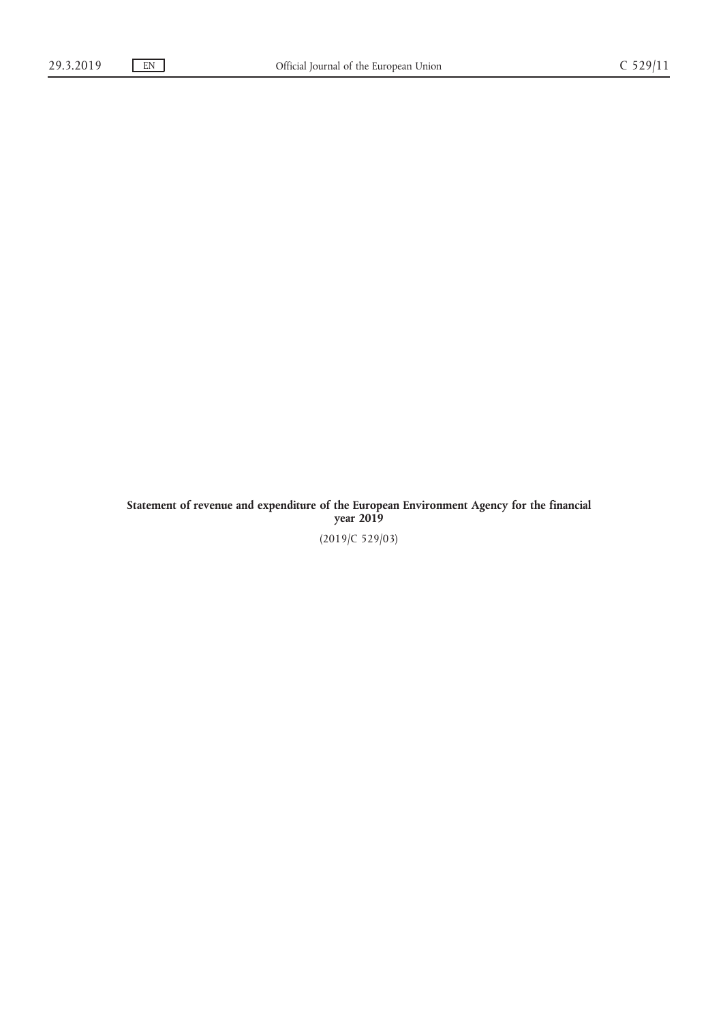Statement of revenue and expenditure of the European Environment Agency for the financial year 2019 (2019/C 529/03)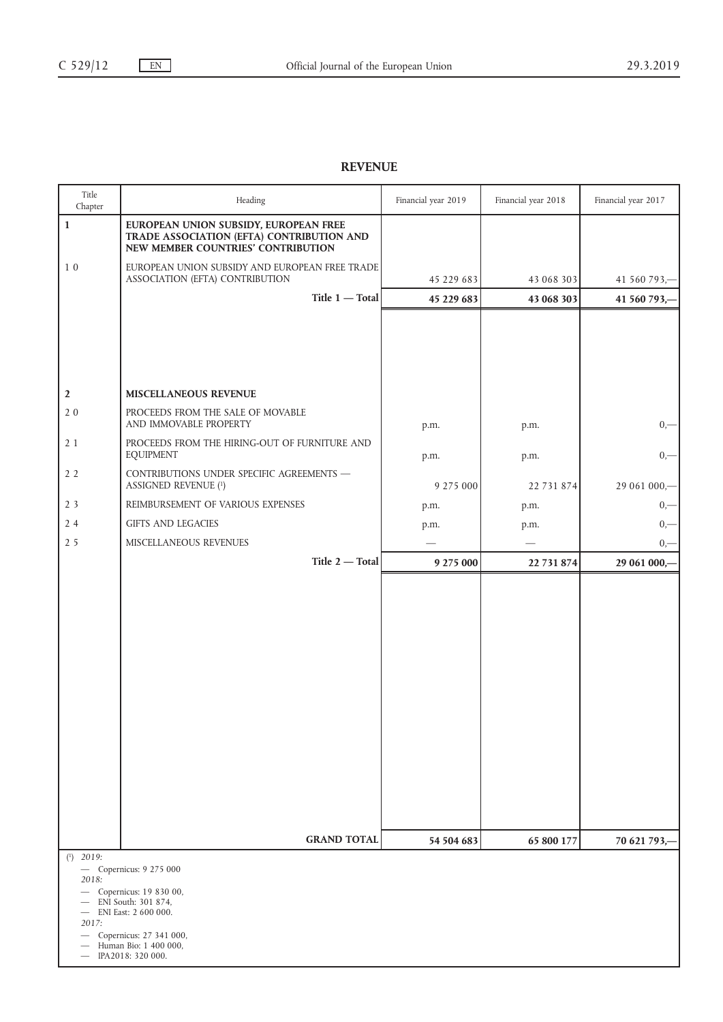## REVENUE

| Title<br>Chapter                                        | Heading                                                                                                                                                                   | Financial year 2019 | Financial year 2018 | Financial year 2017 |
|---------------------------------------------------------|---------------------------------------------------------------------------------------------------------------------------------------------------------------------------|---------------------|---------------------|---------------------|
| $\mathbf{1}$                                            | EUROPEAN UNION SUBSIDY, EUROPEAN FREE<br>TRADE ASSOCIATION (EFTA) CONTRIBUTION AND<br>NEW MEMBER COUNTRIES' CONTRIBUTION                                                  |                     |                     |                     |
| $1\,0$                                                  | EUROPEAN UNION SUBSIDY AND EUROPEAN FREE TRADE<br>ASSOCIATION (EFTA) CONTRIBUTION                                                                                         | 45 229 683          | 43 068 303          | 41 560 793,-        |
|                                                         | Title 1 - Total                                                                                                                                                           | 45 229 683          | 43 068 303          | 41 560 793,-        |
| $\boldsymbol{2}$<br>20                                  | MISCELLANEOUS REVENUE<br>PROCEEDS FROM THE SALE OF MOVABLE<br>AND IMMOVABLE PROPERTY                                                                                      | p.m.                | p.m.                | $_{0,-}$            |
| 21                                                      | PROCEEDS FROM THE HIRING-OUT OF FURNITURE AND<br><b>EQUIPMENT</b>                                                                                                         | p.m.                | p.m.                | $0, -$              |
| 2 <sub>2</sub>                                          | CONTRIBUTIONS UNDER SPECIFIC AGREEMENTS -<br><b>ASSIGNED REVENUE (1)</b>                                                                                                  | 9 275 000           | 22 731 874          | 29 061 000,-        |
| 2 <sub>3</sub>                                          | REIMBURSEMENT OF VARIOUS EXPENSES                                                                                                                                         | p.m.                | p.m.                | $0, -$              |
| 24                                                      | GIFTS AND LEGACIES                                                                                                                                                        | p.m.                | p.m.                | $0, -$              |
| 2 <sub>5</sub>                                          | MISCELLANEOUS REVENUES                                                                                                                                                    |                     |                     | $_{0,-}$            |
|                                                         | Title 2 - Total                                                                                                                                                           | 9 275 000           | 22 731 874          | 29 061 000,-        |
|                                                         |                                                                                                                                                                           |                     |                     |                     |
|                                                         | <b>GRAND TOTAL</b>                                                                                                                                                        | 54 504 683          | 65 800 177          | 70 621 793,-        |
| $(1)$ 2019:<br>2018:<br>$\qquad \qquad -$<br>2017:<br>— | - Copernicus: 9 275 000<br>Copernicus: 19 830 00,<br>ENI South: 301 874,<br>ENI East: 2 600 000.<br>Copernicus: 27 341 000,<br>Human Bio: 1 400 000,<br>IPA2018: 320 000. |                     |                     |                     |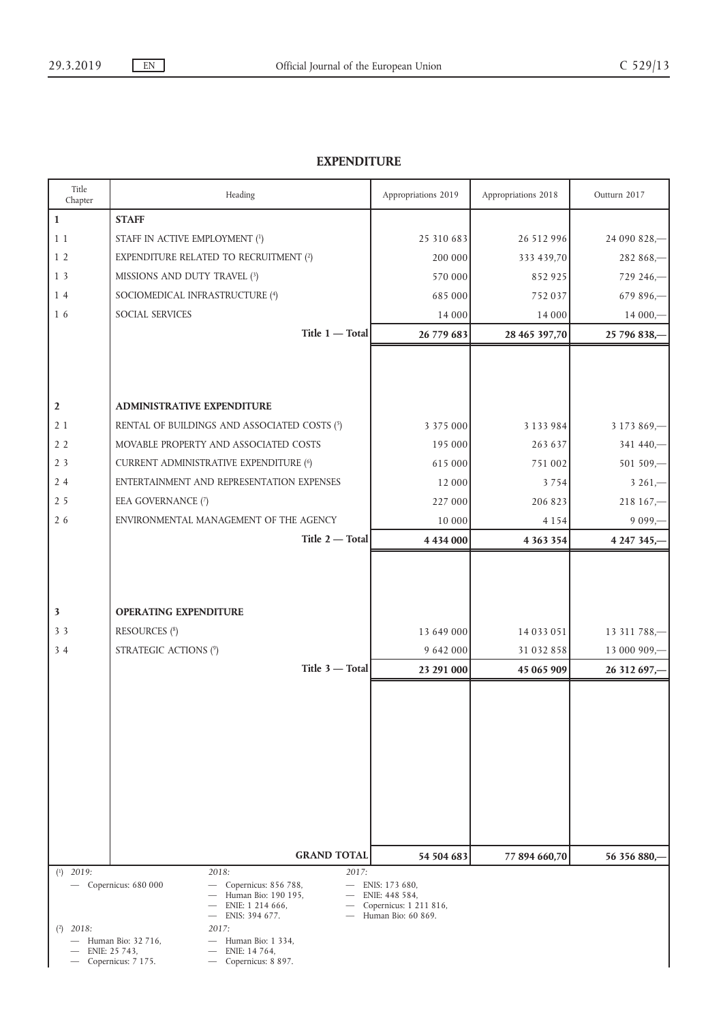## EXPENDITURE

| Title<br>Chapter                                                                                                                                                                                                                                                                                                                                                                                          | Heading                                                                              | Appropriations 2019     | Appropriations 2018      | Outturn 2017                 |
|-----------------------------------------------------------------------------------------------------------------------------------------------------------------------------------------------------------------------------------------------------------------------------------------------------------------------------------------------------------------------------------------------------------|--------------------------------------------------------------------------------------|-------------------------|--------------------------|------------------------------|
| $\mathbf{1}$                                                                                                                                                                                                                                                                                                                                                                                              | <b>STAFF</b>                                                                         |                         |                          |                              |
| 11                                                                                                                                                                                                                                                                                                                                                                                                        | STAFF IN ACTIVE EMPLOYMENT (1)                                                       | 25 310 683              | 26 512 996               | 24 090 828,-                 |
| 1 <sub>2</sub>                                                                                                                                                                                                                                                                                                                                                                                            | <b>EXPENDITURE RELATED TO RECRUITMENT (2)</b>                                        | 200 000                 | 333 439,70               | $282868 -$                   |
| 1 <sub>3</sub>                                                                                                                                                                                                                                                                                                                                                                                            | MISSIONS AND DUTY TRAVEL (3)                                                         | 570 000                 | 852925                   | $729246 -$                   |
| 14                                                                                                                                                                                                                                                                                                                                                                                                        | SOCIOMEDICAL INFRASTRUCTURE (4)                                                      | 685 000                 | 752037                   | $679896 -$                   |
| 16                                                                                                                                                                                                                                                                                                                                                                                                        | SOCIAL SERVICES                                                                      | 14 000                  | 14 000                   | $14000, -$                   |
|                                                                                                                                                                                                                                                                                                                                                                                                           | Title 1 - Total                                                                      | 26 779 683              | 28 465 397,70            | 25 796 838,-                 |
|                                                                                                                                                                                                                                                                                                                                                                                                           |                                                                                      |                         |                          |                              |
| $\mathbf{2}$                                                                                                                                                                                                                                                                                                                                                                                              | <b>ADMINISTRATIVE EXPENDITURE</b>                                                    |                         |                          |                              |
| 21                                                                                                                                                                                                                                                                                                                                                                                                        | RENTAL OF BUILDINGS AND ASSOCIATED COSTS (5)                                         | 3 3 7 5 0 0 0           | 3 1 3 3 9 8 4            | $3173869 -$                  |
| 2 <sub>2</sub>                                                                                                                                                                                                                                                                                                                                                                                            | MOVABLE PROPERTY AND ASSOCIATED COSTS                                                | 195 000                 | 263 637                  | $341440 -$                   |
| 2 <sub>3</sub>                                                                                                                                                                                                                                                                                                                                                                                            | <b>CURRENT ADMINISTRATIVE EXPENDITURE (6)</b>                                        | 615 000                 | 751 002                  | 501 509,-                    |
| 24                                                                                                                                                                                                                                                                                                                                                                                                        | ENTERTAINMENT AND REPRESENTATION EXPENSES                                            | 12 000                  | 3754                     | $3261 -$                     |
| 2 <sub>5</sub>                                                                                                                                                                                                                                                                                                                                                                                            | EEA GOVERNANCE (7)                                                                   | 227 000                 | 206 823                  | $218167 -$                   |
| 26                                                                                                                                                                                                                                                                                                                                                                                                        | ENVIRONMENTAL MANAGEMENT OF THE AGENCY                                               | 10 000                  | 4 1 5 4                  | $9099 -$                     |
|                                                                                                                                                                                                                                                                                                                                                                                                           | Title 2 - Total                                                                      | 4 4 3 4 0 0 0           | 4 3 6 3 3 5 4            | 4 247 345,-                  |
| $\overline{\mathbf{3}}$<br>3 <sub>3</sub><br>34                                                                                                                                                                                                                                                                                                                                                           | <b>OPERATING EXPENDITURE</b><br><b>RESOURCES</b> (8)<br><b>STRATEGIC ACTIONS (9)</b> | 13 649 000<br>9 642 000 | 14 033 051<br>31 032 858 | 13 311 788,-<br>13 000 909,- |
|                                                                                                                                                                                                                                                                                                                                                                                                           | Title 3 - Total                                                                      | 23 291 000              | 45 065 909               | 26 312 697,-                 |
|                                                                                                                                                                                                                                                                                                                                                                                                           |                                                                                      |                         |                          |                              |
|                                                                                                                                                                                                                                                                                                                                                                                                           | <b>GRAND TOTAL</b>                                                                   | 54 504 683              | 77 894 660,70            | 56 356 880,                  |
| $(1)$ 2019:                                                                                                                                                                                                                                                                                                                                                                                               | 2018:<br>2017:                                                                       |                         |                          |                              |
| $-$ Copernicus: 680 000<br>Copernicus: 856 788,<br>ENIS: 173 680,<br>$\overline{\phantom{0}}$<br>$\overline{\phantom{m}}$<br>Human Bio: 190 195,<br>ENIE: 448 584,<br>ENIE: 1 214 666,<br>Copernicus: 1 211 816,<br>Human Bio: 60 869.<br>ENIS: 394 677.<br>2017:<br>$(2)$ 2018:<br>Human Bio: 1 334,<br>Human Bio: 32 716,<br>ENIE: 25 743,<br>ENIE: 14 764,<br>Copernicus: 7 175.<br>Copernicus: 8 897. |                                                                                      |                         |                          |                              |